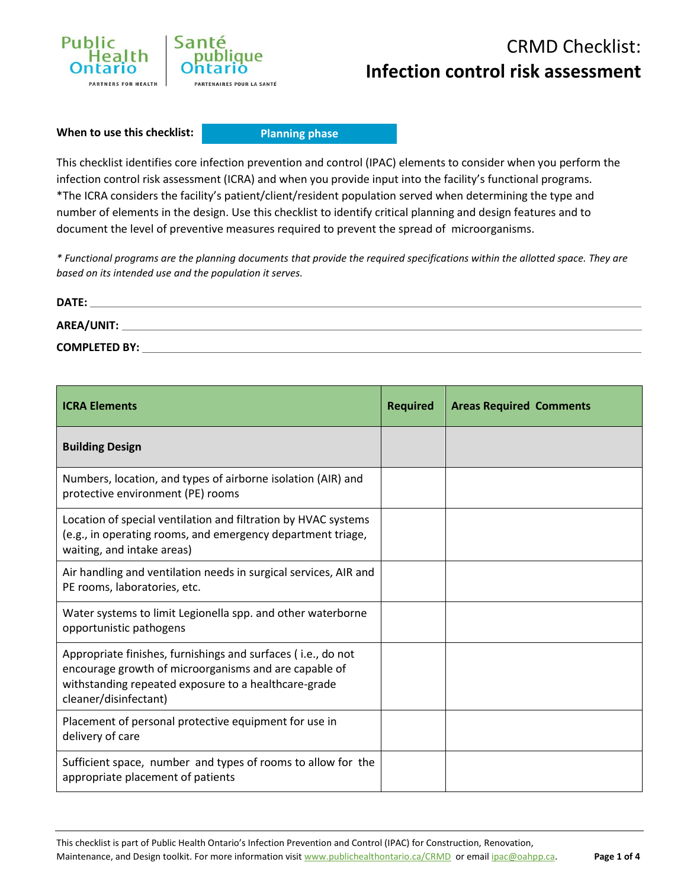

**When to use this checklist:**

**Planning phase**

This checklist identifies core infection prevention and control (IPAC) elements to consider when you perform the infection control risk assessment (ICRA) and when you provide input into the facility's functional programs. \*The ICRA considers the facility's patient/client/resident population served when determining the type and number of elements in the design. Use this checklist to identify critical planning and design features and to document the level of preventive measures required to prevent the spread of microorganisms.

*\* Functional programs are the planning documents that provide the required specifications within the allotted space. They are based on its intended use and the population it serves.*

| DATE:                |  |
|----------------------|--|
| AREA/UNIT:           |  |
| <b>COMPLETED BY:</b> |  |

| <b>ICRA Elements</b>                                                                                                                                                                                   | <b>Required</b> | <b>Areas Required Comments</b> |
|--------------------------------------------------------------------------------------------------------------------------------------------------------------------------------------------------------|-----------------|--------------------------------|
| <b>Building Design</b>                                                                                                                                                                                 |                 |                                |
| Numbers, location, and types of airborne isolation (AIR) and<br>protective environment (PE) rooms                                                                                                      |                 |                                |
| Location of special ventilation and filtration by HVAC systems<br>(e.g., in operating rooms, and emergency department triage,<br>waiting, and intake areas)                                            |                 |                                |
| Air handling and ventilation needs in surgical services, AIR and<br>PE rooms, laboratories, etc.                                                                                                       |                 |                                |
| Water systems to limit Legionella spp. and other waterborne<br>opportunistic pathogens                                                                                                                 |                 |                                |
| Appropriate finishes, furnishings and surfaces (i.e., do not<br>encourage growth of microorganisms and are capable of<br>withstanding repeated exposure to a healthcare-grade<br>cleaner/disinfectant) |                 |                                |
| Placement of personal protective equipment for use in<br>delivery of care                                                                                                                              |                 |                                |
| Sufficient space, number and types of rooms to allow for the<br>appropriate placement of patients                                                                                                      |                 |                                |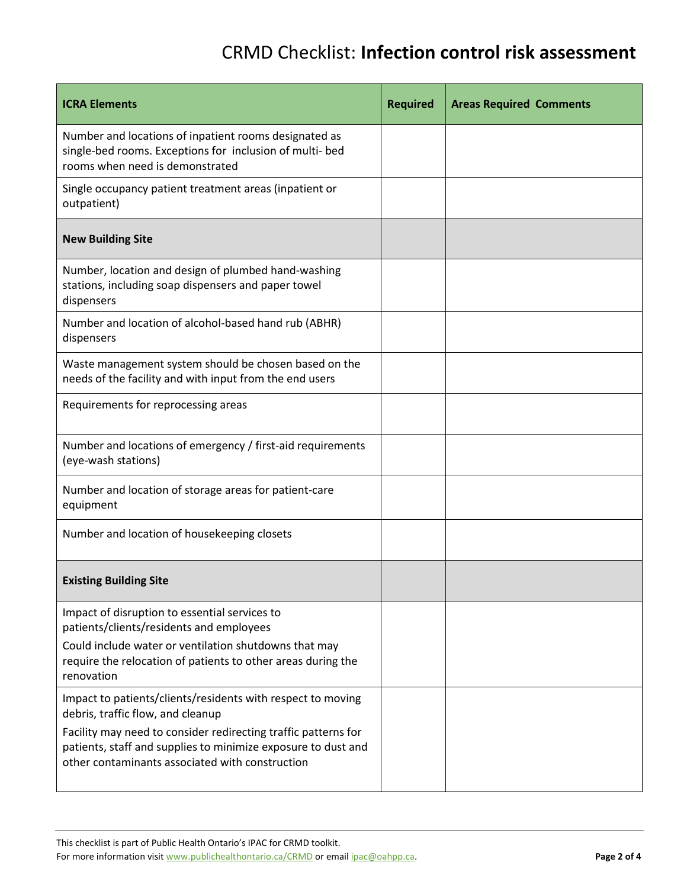| <b>ICRA Elements</b>                                                                                                                                                               | <b>Required</b> | <b>Areas Required Comments</b> |
|------------------------------------------------------------------------------------------------------------------------------------------------------------------------------------|-----------------|--------------------------------|
| Number and locations of inpatient rooms designated as<br>single-bed rooms. Exceptions for inclusion of multi- bed<br>rooms when need is demonstrated                               |                 |                                |
| Single occupancy patient treatment areas (inpatient or<br>outpatient)                                                                                                              |                 |                                |
| <b>New Building Site</b>                                                                                                                                                           |                 |                                |
| Number, location and design of plumbed hand-washing<br>stations, including soap dispensers and paper towel<br>dispensers                                                           |                 |                                |
| Number and location of alcohol-based hand rub (ABHR)<br>dispensers                                                                                                                 |                 |                                |
| Waste management system should be chosen based on the<br>needs of the facility and with input from the end users                                                                   |                 |                                |
| Requirements for reprocessing areas                                                                                                                                                |                 |                                |
| Number and locations of emergency / first-aid requirements<br>(eye-wash stations)                                                                                                  |                 |                                |
| Number and location of storage areas for patient-care<br>equipment                                                                                                                 |                 |                                |
| Number and location of housekeeping closets                                                                                                                                        |                 |                                |
| <b>Existing Building Site</b>                                                                                                                                                      |                 |                                |
| Impact of disruption to essential services to<br>patients/clients/residents and employees                                                                                          |                 |                                |
| Could include water or ventilation shutdowns that may<br>require the relocation of patients to other areas during the<br>renovation                                                |                 |                                |
| Impact to patients/clients/residents with respect to moving<br>debris, traffic flow, and cleanup                                                                                   |                 |                                |
| Facility may need to consider redirecting traffic patterns for<br>patients, staff and supplies to minimize exposure to dust and<br>other contaminants associated with construction |                 |                                |

This checklist is part of Public Health Ontario's IPAC for CRMD toolkit.

For more information visit www.publichealthontario.ca/CRMD or email ipac@oahpp.ca. **Page 2 of 4**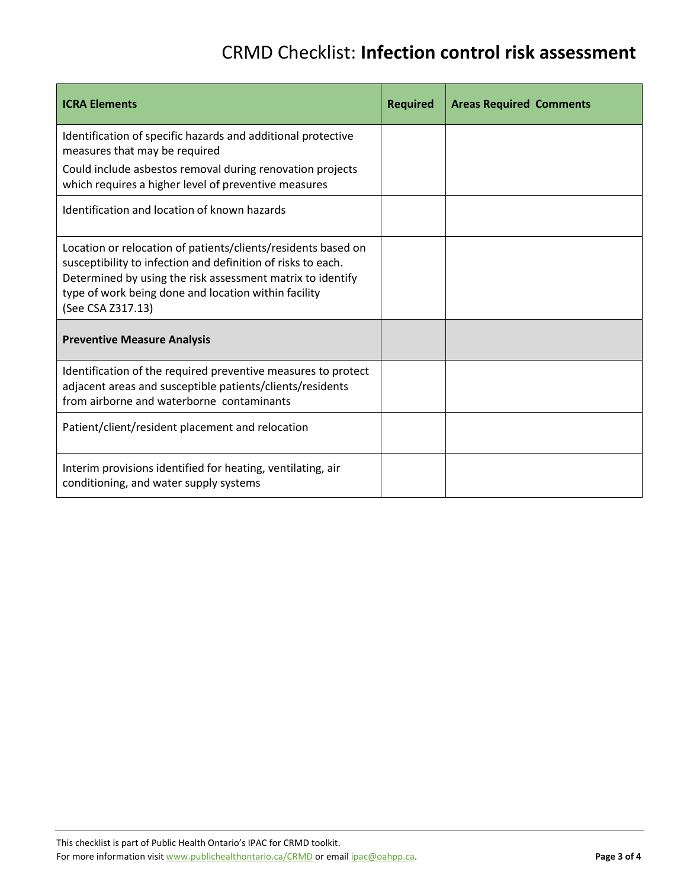| <b>ICRA Elements</b>                                                                                                                                                                                                                                                     | <b>Required</b> | <b>Areas Required Comments</b> |
|--------------------------------------------------------------------------------------------------------------------------------------------------------------------------------------------------------------------------------------------------------------------------|-----------------|--------------------------------|
| Identification of specific hazards and additional protective<br>measures that may be required                                                                                                                                                                            |                 |                                |
| Could include asbestos removal during renovation projects<br>which requires a higher level of preventive measures                                                                                                                                                        |                 |                                |
| Identification and location of known hazards                                                                                                                                                                                                                             |                 |                                |
| Location or relocation of patients/clients/residents based on<br>susceptibility to infection and definition of risks to each.<br>Determined by using the risk assessment matrix to identify<br>type of work being done and location within facility<br>(See CSA Z317.13) |                 |                                |
| <b>Preventive Measure Analysis</b>                                                                                                                                                                                                                                       |                 |                                |
| Identification of the required preventive measures to protect<br>adjacent areas and susceptible patients/clients/residents<br>from airborne and waterborne contaminants                                                                                                  |                 |                                |
| Patient/client/resident placement and relocation                                                                                                                                                                                                                         |                 |                                |
| Interim provisions identified for heating, ventilating, air<br>conditioning, and water supply systems                                                                                                                                                                    |                 |                                |